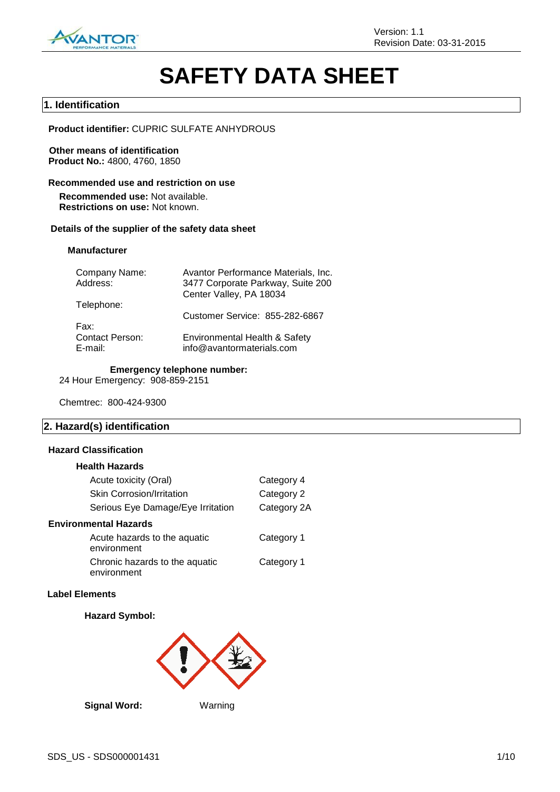

# **SAFETY DATA SHEET**

#### **1. Identification**

**Product identifier:** CUPRIC SULFATE ANHYDROUS

**Other means of identification Product No.:** 4800, 4760, 1850

#### **Recommended use and restriction on use**

**Recommended use:** Not available. **Restrictions on use:** Not known.

#### **Details of the supplier of the safety data sheet**

#### **Manufacturer**

| Company Name:<br>Address:         | Avantor Performance Materials, Inc.<br>3477 Corporate Parkway, Suite 200 |
|-----------------------------------|--------------------------------------------------------------------------|
|                                   | Center Valley, PA 18034                                                  |
| Telephone:                        | Customer Service: 855-282-6867                                           |
| Fax:                              |                                                                          |
| <b>Contact Person:</b><br>E-mail: | Environmental Health & Safety<br>info@avantormaterials.com               |

#### **Emergency telephone number:**

24 Hour Emergency: 908-859-2151

Chemtrec: 800-424-9300

#### **2. Hazard(s) identification**

#### **Hazard Classification**

#### **Health Hazards**

| Acute toxicity (Oral)                         | Category 4  |
|-----------------------------------------------|-------------|
| Skin Corrosion/Irritation                     | Category 2  |
| Serious Eye Damage/Eye Irritation             | Category 2A |
| <b>Environmental Hazards</b>                  |             |
| Acute hazards to the aquatic<br>environment   | Category 1  |
| Chronic hazards to the aquatic<br>environment | Category 1  |

#### **Label Elements**

#### **Hazard Symbol:**



**Signal Word:** Warning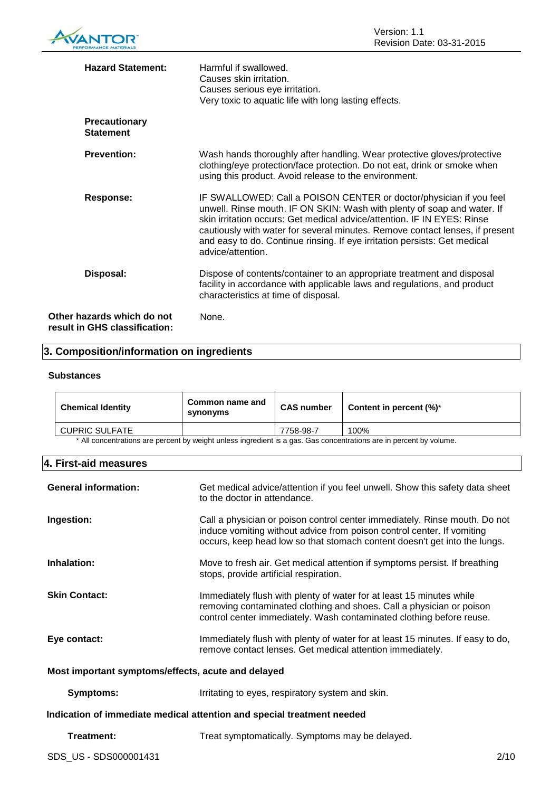

| <b>Hazard Statement:</b>                       | Harmful if swallowed.<br>Causes skin irritation.<br>Causes serious eye irritation.<br>Very toxic to aquatic life with long lasting effects.                                                                                                                                                                                                                                                                |
|------------------------------------------------|------------------------------------------------------------------------------------------------------------------------------------------------------------------------------------------------------------------------------------------------------------------------------------------------------------------------------------------------------------------------------------------------------------|
| <b>Precautionary</b><br><b>Statement</b>       |                                                                                                                                                                                                                                                                                                                                                                                                            |
| <b>Prevention:</b>                             | Wash hands thoroughly after handling. Wear protective gloves/protective<br>clothing/eye protection/face protection. Do not eat, drink or smoke when<br>using this product. Avoid release to the environment.                                                                                                                                                                                               |
| Response:                                      | IF SWALLOWED: Call a POISON CENTER or doctor/physician if you feel<br>unwell. Rinse mouth. IF ON SKIN: Wash with plenty of soap and water. If<br>skin irritation occurs: Get medical advice/attention. IF IN EYES: Rinse<br>cautiously with water for several minutes. Remove contact lenses, if present<br>and easy to do. Continue rinsing. If eye irritation persists: Get medical<br>advice/attention. |
| Disposal:                                      | Dispose of contents/container to an appropriate treatment and disposal<br>facility in accordance with applicable laws and regulations, and product<br>characteristics at time of disposal.                                                                                                                                                                                                                 |
| hazards which do not<br>in GHS classification: | None.                                                                                                                                                                                                                                                                                                                                                                                                      |

### **3. Composition/information on ingredients**

#### **Substances**

**Other result** 

| <b>Chemical Identity</b>                                                                                            | Common name and<br>synonyms | <b>CAS number</b> | Content in percent $(\%)^*$ |
|---------------------------------------------------------------------------------------------------------------------|-----------------------------|-------------------|-----------------------------|
| <b>CUPRIC SULFATE</b>                                                                                               |                             | 7758-98-7         | 100%                        |
| * All concentrations are percent by weight unless ingredient is a gas. Gas concentrations are in percent by volume. |                             |                   |                             |

#### **4. First-aid measures**

| <b>General information:</b>                                            | Get medical advice/attention if you feel unwell. Show this safety data sheet<br>to the doctor in attendance.                                                                                                                      |  |
|------------------------------------------------------------------------|-----------------------------------------------------------------------------------------------------------------------------------------------------------------------------------------------------------------------------------|--|
| Ingestion:                                                             | Call a physician or poison control center immediately. Rinse mouth. Do not<br>induce vomiting without advice from poison control center. If vomiting<br>occurs, keep head low so that stomach content doesn't get into the lungs. |  |
| Inhalation:                                                            | Move to fresh air. Get medical attention if symptoms persist. If breathing<br>stops, provide artificial respiration.                                                                                                              |  |
| <b>Skin Contact:</b>                                                   | Immediately flush with plenty of water for at least 15 minutes while<br>removing contaminated clothing and shoes. Call a physician or poison<br>control center immediately. Wash contaminated clothing before reuse.              |  |
| Eye contact:                                                           | Immediately flush with plenty of water for at least 15 minutes. If easy to do,<br>remove contact lenses. Get medical attention immediately.                                                                                       |  |
| Most important symptoms/effects, acute and delayed                     |                                                                                                                                                                                                                                   |  |
| <b>Symptoms:</b>                                                       | Irritating to eyes, respiratory system and skin.                                                                                                                                                                                  |  |
| Indication of immediate medical attention and special treatment needed |                                                                                                                                                                                                                                   |  |
| Treatment:                                                             | Treat symptomatically. Symptoms may be delayed.                                                                                                                                                                                   |  |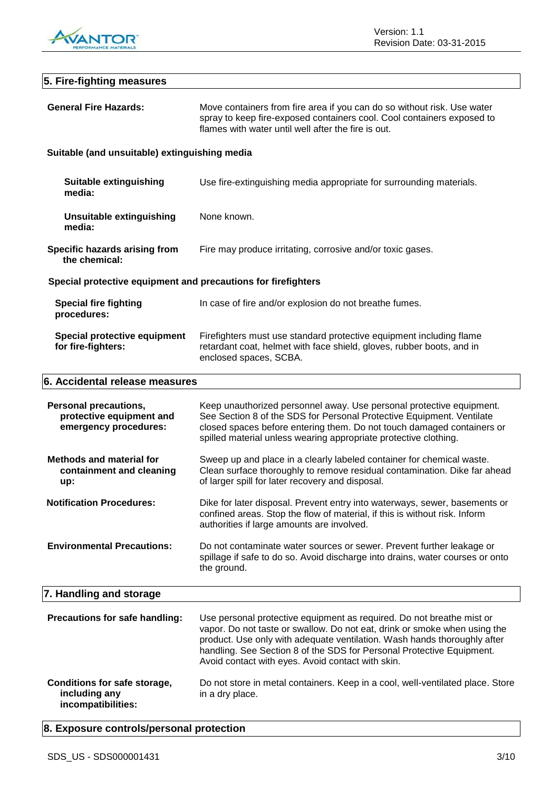

| 5. Fire-fighting measures                                                         |                                                                                                                                                                                                                                                                                                                                                              |  |
|-----------------------------------------------------------------------------------|--------------------------------------------------------------------------------------------------------------------------------------------------------------------------------------------------------------------------------------------------------------------------------------------------------------------------------------------------------------|--|
| <b>General Fire Hazards:</b>                                                      | Move containers from fire area if you can do so without risk. Use water<br>spray to keep fire-exposed containers cool. Cool containers exposed to<br>flames with water until well after the fire is out.                                                                                                                                                     |  |
| Suitable (and unsuitable) extinguishing media                                     |                                                                                                                                                                                                                                                                                                                                                              |  |
| <b>Suitable extinguishing</b><br>media:                                           | Use fire-extinguishing media appropriate for surrounding materials.                                                                                                                                                                                                                                                                                          |  |
| <b>Unsuitable extinguishing</b><br>media:                                         | None known.                                                                                                                                                                                                                                                                                                                                                  |  |
| Specific hazards arising from<br>the chemical:                                    | Fire may produce irritating, corrosive and/or toxic gases.                                                                                                                                                                                                                                                                                                   |  |
| Special protective equipment and precautions for firefighters                     |                                                                                                                                                                                                                                                                                                                                                              |  |
| <b>Special fire fighting</b><br>procedures:                                       | In case of fire and/or explosion do not breathe fumes.                                                                                                                                                                                                                                                                                                       |  |
| Special protective equipment<br>for fire-fighters:                                | Firefighters must use standard protective equipment including flame<br>retardant coat, helmet with face shield, gloves, rubber boots, and in<br>enclosed spaces, SCBA.                                                                                                                                                                                       |  |
| 6. Accidental release measures                                                    |                                                                                                                                                                                                                                                                                                                                                              |  |
| <b>Personal precautions,</b><br>protective equipment and<br>emergency procedures: | Keep unauthorized personnel away. Use personal protective equipment.<br>See Section 8 of the SDS for Personal Protective Equipment. Ventilate<br>closed spaces before entering them. Do not touch damaged containers or<br>spilled material unless wearing appropriate protective clothing.                                                                  |  |
| <b>Methods and material for</b><br>containment and cleaning<br>up:                | Sweep up and place in a clearly labeled container for chemical waste.<br>Clean surface thoroughly to remove residual contamination. Dike far ahead<br>of larger spill for later recovery and disposal.                                                                                                                                                       |  |
| <b>Notification Procedures:</b>                                                   | Dike for later disposal. Prevent entry into waterways, sewer, basements or<br>confined areas. Stop the flow of material, if this is without risk. Inform<br>authorities if large amounts are involved.                                                                                                                                                       |  |
| <b>Environmental Precautions:</b>                                                 | Do not contaminate water sources or sewer. Prevent further leakage or<br>spillage if safe to do so. Avoid discharge into drains, water courses or onto<br>the ground.                                                                                                                                                                                        |  |
| 7. Handling and storage                                                           |                                                                                                                                                                                                                                                                                                                                                              |  |
| Precautions for safe handling:                                                    | Use personal protective equipment as required. Do not breathe mist or<br>vapor. Do not taste or swallow. Do not eat, drink or smoke when using the<br>product. Use only with adequate ventilation. Wash hands thoroughly after<br>handling. See Section 8 of the SDS for Personal Protective Equipment.<br>Avoid contact with eyes. Avoid contact with skin. |  |
| Conditions for safe storage,<br>including any<br>incompatibilities:               | Do not store in metal containers. Keep in a cool, well-ventilated place. Store<br>in a dry place.                                                                                                                                                                                                                                                            |  |

## **8. Exposure controls/personal protection**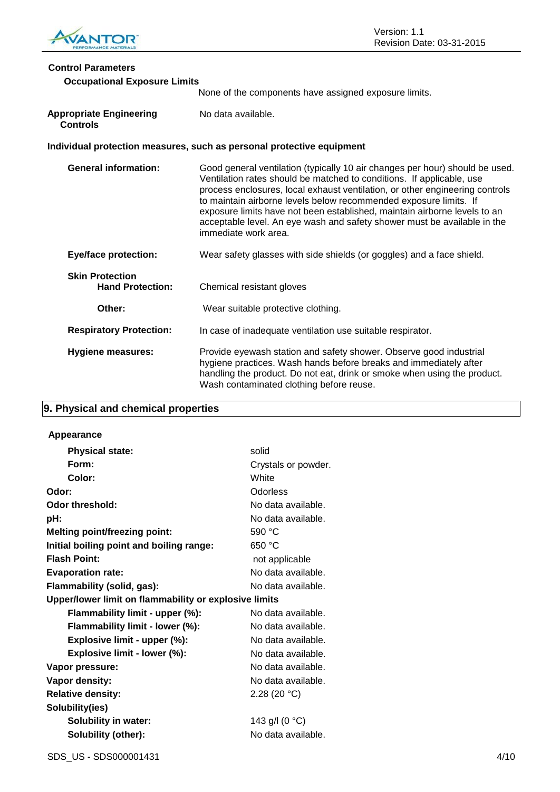

### **Control Parameters**

| Control Parameters<br><b>Occupational Exposure Limits</b> |                                                                                                                                                                                                                                                                                                                                                                                                                                                                                             |
|-----------------------------------------------------------|---------------------------------------------------------------------------------------------------------------------------------------------------------------------------------------------------------------------------------------------------------------------------------------------------------------------------------------------------------------------------------------------------------------------------------------------------------------------------------------------|
|                                                           | None of the components have assigned exposure limits.                                                                                                                                                                                                                                                                                                                                                                                                                                       |
| <b>Appropriate Engineering</b><br><b>Controls</b>         | No data available.                                                                                                                                                                                                                                                                                                                                                                                                                                                                          |
|                                                           | Individual protection measures, such as personal protective equipment                                                                                                                                                                                                                                                                                                                                                                                                                       |
| <b>General information:</b>                               | Good general ventilation (typically 10 air changes per hour) should be used.<br>Ventilation rates should be matched to conditions. If applicable, use<br>process enclosures, local exhaust ventilation, or other engineering controls<br>to maintain airborne levels below recommended exposure limits. If<br>exposure limits have not been established, maintain airborne levels to an<br>acceptable level. An eye wash and safety shower must be available in the<br>immediate work area. |
| <b>Eye/face protection:</b>                               | Wear safety glasses with side shields (or goggles) and a face shield.                                                                                                                                                                                                                                                                                                                                                                                                                       |
| <b>Skin Protection</b><br><b>Hand Protection:</b>         | Chemical resistant gloves                                                                                                                                                                                                                                                                                                                                                                                                                                                                   |
| Other:                                                    | Wear suitable protective clothing.                                                                                                                                                                                                                                                                                                                                                                                                                                                          |
| <b>Respiratory Protection:</b>                            | In case of inadequate ventilation use suitable respirator.                                                                                                                                                                                                                                                                                                                                                                                                                                  |
| <b>Hygiene measures:</b>                                  | Provide eyewash station and safety shower. Observe good industrial<br>hygiene practices. Wash hands before breaks and immediately after                                                                                                                                                                                                                                                                                                                                                     |

Wash contaminated clothing before reuse.

handling the product. Do not eat, drink or smoke when using the product.

### **9. Physical and chemical properties**

### **Appearance**

| <b>Physical state:</b>                                | solid               |  |
|-------------------------------------------------------|---------------------|--|
| Form:                                                 | Crystals or powder. |  |
| Color:                                                | White               |  |
| Odor:                                                 | Odorless            |  |
| Odor threshold:                                       | No data available.  |  |
| pH:                                                   | No data available.  |  |
| <b>Melting point/freezing point:</b>                  | 590 °C              |  |
| Initial boiling point and boiling range:              | 650 °C              |  |
| <b>Flash Point:</b>                                   | not applicable      |  |
| <b>Evaporation rate:</b>                              | No data available.  |  |
| Flammability (solid, gas):                            | No data available.  |  |
| Upper/lower limit on flammability or explosive limits |                     |  |
| Flammability limit - upper (%):                       | No data available.  |  |
| Flammability limit - lower (%):                       | No data available.  |  |
| Explosive limit - upper (%):                          | No data available.  |  |
| Explosive limit - lower (%):                          | No data available.  |  |
| Vapor pressure:                                       | No data available.  |  |
| Vapor density:                                        | No data available.  |  |
| <b>Relative density:</b>                              | 2.28 (20 $°C$ )     |  |
| Solubility(ies)                                       |                     |  |
| <b>Solubility in water:</b>                           | 143 g/l (0 °C)      |  |
| Solubility (other):                                   | No data available.  |  |
|                                                       |                     |  |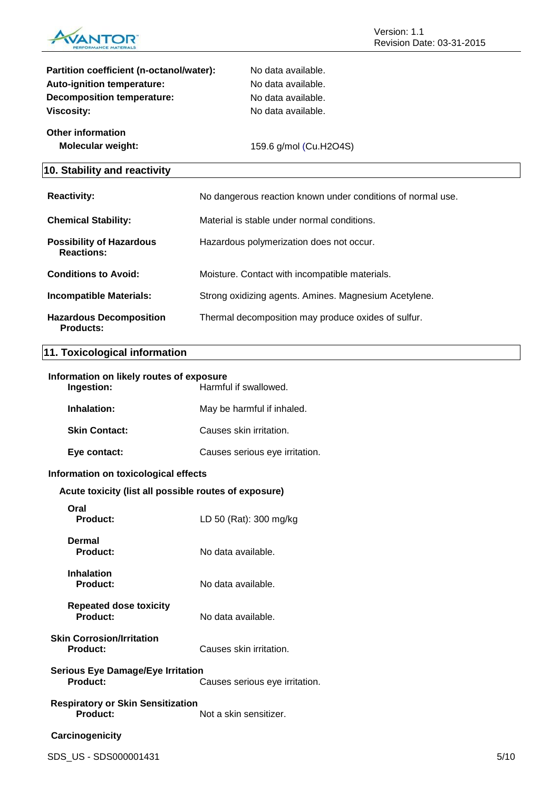

| Partition coefficient (n-octanol/water):             | No data available.                                          |
|------------------------------------------------------|-------------------------------------------------------------|
| Auto-ignition temperature:                           | No data available.                                          |
| <b>Decomposition temperature:</b>                    | No data available.                                          |
| <b>Viscosity:</b>                                    | No data available.                                          |
| <b>Other information</b>                             |                                                             |
| <b>Molecular weight:</b>                             | 159.6 g/mol (Cu.H2O4S)                                      |
| 10. Stability and reactivity                         |                                                             |
| <b>Reactivity:</b>                                   | No dangerous reaction known under conditions of normal use. |
| <b>Chemical Stability:</b>                           | Material is stable under normal conditions.                 |
| <b>Possibility of Hazardous</b><br><b>Reactions:</b> | Hazardous polymerization does not occur.                    |
| <b>Conditions to Avoid:</b>                          | Moisture. Contact with incompatible materials.              |
| <b>Incompatible Materials:</b>                       | Strong oxidizing agents. Amines. Magnesium Acetylene.       |
| <b>Hazardous Decomposition</b><br><b>Products:</b>   | Thermal decomposition may produce oxides of sulfur.         |

### **11. Toxicological information**

| Information on likely routes of exposure<br>Ingestion:<br>Harmful if swallowed.        |                                |
|----------------------------------------------------------------------------------------|--------------------------------|
| Inhalation:                                                                            | May be harmful if inhaled.     |
| <b>Skin Contact:</b>                                                                   | Causes skin irritation.        |
| Eye contact:                                                                           | Causes serious eye irritation. |
| Information on toxicological effects                                                   |                                |
| Acute toxicity (list all possible routes of exposure)                                  |                                |
| Oral<br>Product:                                                                       | LD 50 (Rat): 300 mg/kg         |
| <b>Dermal</b><br><b>Product:</b>                                                       | No data available.             |
| <b>Inhalation</b><br><b>Product:</b>                                                   | No data available.             |
| <b>Repeated dose toxicity</b><br>Product:                                              | No data available.             |
| <b>Skin Corrosion/Irritation</b><br>Product:                                           | Causes skin irritation.        |
| <b>Serious Eye Damage/Eye Irritation</b><br>Product:<br>Causes serious eye irritation. |                                |
| <b>Respiratory or Skin Sensitization</b><br><b>Product:</b>                            | Not a skin sensitizer.         |
| Carcinogenicity                                                                        |                                |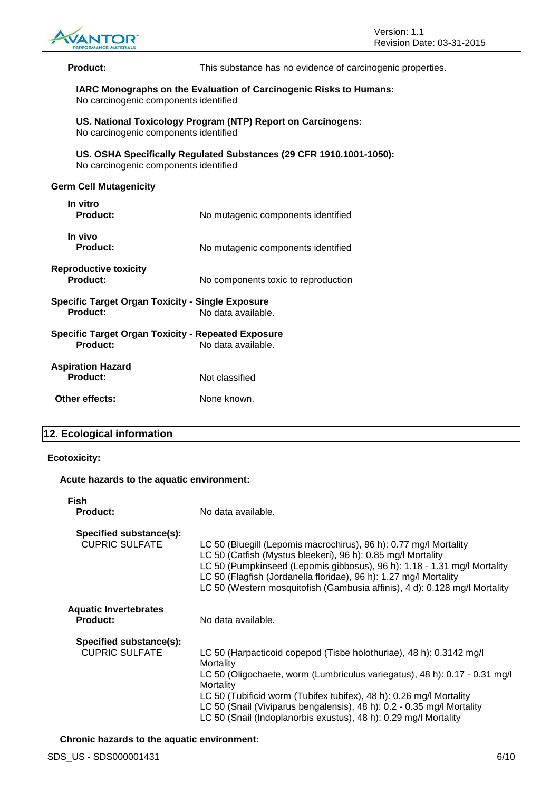

**Product:** This substance has no evidence of carcinogenic properties.

#### **IARC Monographs on the Evaluation of Carcinogenic Risks to Humans:** No carcinogenic components identified

**US. National Toxicology Program (NTP) Report on Carcinogens:** No carcinogenic components identified

**US. OSHA Specifically Regulated Substances (29 CFR 1910.1001-1050):** No carcinogenic components identified

#### **Germ Cell Mutagenicity**

| In vitro<br><b>Product:</b>                                           | No mutagenic components identified  |
|-----------------------------------------------------------------------|-------------------------------------|
| In vivo<br><b>Product:</b>                                            | No mutagenic components identified  |
| <b>Reproductive toxicity</b><br><b>Product:</b>                       | No components toxic to reproduction |
| <b>Specific Target Organ Toxicity - Single Exposure</b><br>Product:   | No data available.                  |
| <b>Specific Target Organ Toxicity - Repeated Exposure</b><br>Product: | No data available.                  |
| <b>Aspiration Hazard</b><br>Product:                                  | Not classified                      |
| Other effects:                                                        | None known.                         |

#### **12. Ecological information**

#### **Ecotoxicity:**

#### **Acute hazards to the aquatic environment:**

| <b>Fish</b>                                      |                                                                                                                                                                                                                                                                                             |
|--------------------------------------------------|---------------------------------------------------------------------------------------------------------------------------------------------------------------------------------------------------------------------------------------------------------------------------------------------|
| <b>Product:</b>                                  | No data available.                                                                                                                                                                                                                                                                          |
| Specified substance(s):<br><b>CUPRIC SULFATE</b> | LC 50 (Bluegill (Lepomis macrochirus), 96 h): 0.77 mg/l Mortality                                                                                                                                                                                                                           |
|                                                  | LC 50 (Catfish (Mystus bleekeri), 96 h): 0.85 mg/l Mortality<br>LC 50 (Pumpkinseed (Lepomis gibbosus), 96 h): 1.18 - 1.31 mg/l Mortality<br>LC 50 (Flagfish (Jordanella floridae), 96 h): 1.27 mg/l Mortality<br>LC 50 (Western mosquitofish (Gambusia affinis), 4 d): 0.128 mg/l Mortality |
| <b>Aquatic Invertebrates</b><br><b>Product:</b>  | No data available.                                                                                                                                                                                                                                                                          |
| Specified substance(s):                          |                                                                                                                                                                                                                                                                                             |
| <b>CUPRIC SULFATE</b>                            | LC 50 (Harpacticoid copepod (Tisbe holothuriae), 48 h): 0.3142 mg/l<br>Mortality                                                                                                                                                                                                            |
|                                                  | LC 50 (Oligochaete, worm (Lumbriculus variegatus), 48 h): 0.17 - 0.31 mg/l<br>Mortality                                                                                                                                                                                                     |
|                                                  | LC 50 (Tubificid worm (Tubifex tubifex), 48 h): 0.26 mg/l Mortality<br>LC 50 (Snail (Viviparus bengalensis), 48 h): 0.2 - 0.35 mg/l Mortality<br>LC 50 (Snail (Indoplanorbis exustus), 48 h): 0.29 mg/l Mortality                                                                           |
|                                                  |                                                                                                                                                                                                                                                                                             |

**Chronic hazards to the aquatic environment:**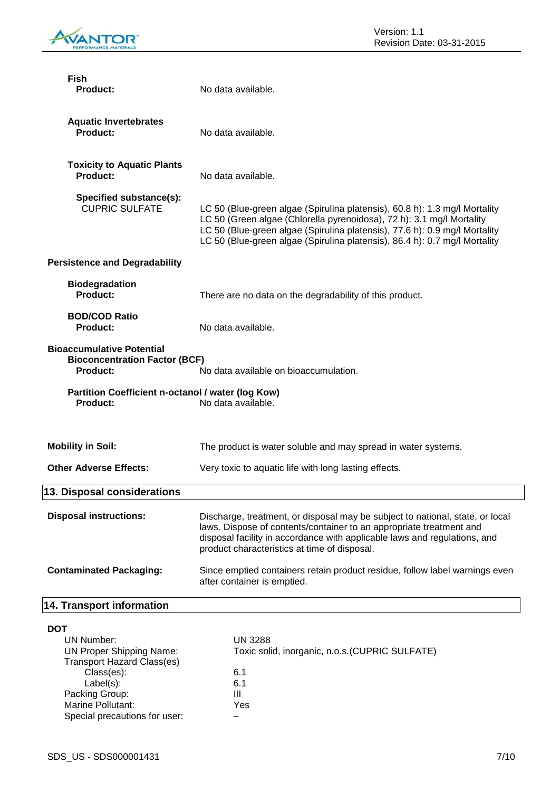

| <b>Fish</b><br><b>Product:</b>                                                                                                       | No data available.                                                                                                                                                                                                                                                                                              |  |
|--------------------------------------------------------------------------------------------------------------------------------------|-----------------------------------------------------------------------------------------------------------------------------------------------------------------------------------------------------------------------------------------------------------------------------------------------------------------|--|
| <b>Aquatic Invertebrates</b><br>Product:                                                                                             | No data available.                                                                                                                                                                                                                                                                                              |  |
| <b>Toxicity to Aquatic Plants</b><br>Product:                                                                                        | No data available.                                                                                                                                                                                                                                                                                              |  |
| Specified substance(s):<br><b>CUPRIC SULFATE</b>                                                                                     | LC 50 (Blue-green algae (Spirulina platensis), 60.8 h): 1.3 mg/l Mortality<br>LC 50 (Green algae (Chlorella pyrenoidosa), 72 h): 3.1 mg/l Mortality<br>LC 50 (Blue-green algae (Spirulina platensis), 77.6 h): 0.9 mg/l Mortality<br>LC 50 (Blue-green algae (Spirulina platensis), 86.4 h): 0.7 mg/l Mortality |  |
| <b>Persistence and Degradability</b>                                                                                                 |                                                                                                                                                                                                                                                                                                                 |  |
| <b>Biodegradation</b><br>Product:                                                                                                    | There are no data on the degradability of this product.                                                                                                                                                                                                                                                         |  |
| <b>BOD/COD Ratio</b><br>Product:                                                                                                     | No data available.                                                                                                                                                                                                                                                                                              |  |
| <b>Bioaccumulative Potential</b><br><b>Bioconcentration Factor (BCF)</b><br><b>Product:</b><br>No data available on bioaccumulation. |                                                                                                                                                                                                                                                                                                                 |  |
| Partition Coefficient n-octanol / water (log Kow)<br>Product:                                                                        | No data available.                                                                                                                                                                                                                                                                                              |  |
| <b>Mobility in Soil:</b>                                                                                                             | The product is water soluble and may spread in water systems.                                                                                                                                                                                                                                                   |  |
| <b>Other Adverse Effects:</b>                                                                                                        | Very toxic to aquatic life with long lasting effects.                                                                                                                                                                                                                                                           |  |
| <b>13. Disposal considerations</b>                                                                                                   |                                                                                                                                                                                                                                                                                                                 |  |
| <b>Disposal instructions:</b>                                                                                                        | Discharge, treatment, or disposal may be subject to national, state, or local<br>laws. Dispose of contents/container to an appropriate treatment and<br>disposal facility in accordance with applicable laws and regulations, and<br>product characteristics at time of disposal.                               |  |
| <b>Contaminated Packaging:</b>                                                                                                       | Since emptied containers retain product residue, follow label warnings even<br>after container is emptied.                                                                                                                                                                                                      |  |
| 14. Transport information                                                                                                            |                                                                                                                                                                                                                                                                                                                 |  |
| <b>DOT</b><br><b>UN Number:</b><br><b>UN Proper Shipping Name:</b><br><b>Transport Hazard Class(es)</b><br>Class(es):                | <b>UN 3288</b><br>Toxic solid, inorganic, n.o.s. (CUPRIC SULFATE)<br>6.1                                                                                                                                                                                                                                        |  |

 $Label(s):$  6.1 Packing Group: **III** Marine Pollutant: Yes Special precautions for user: –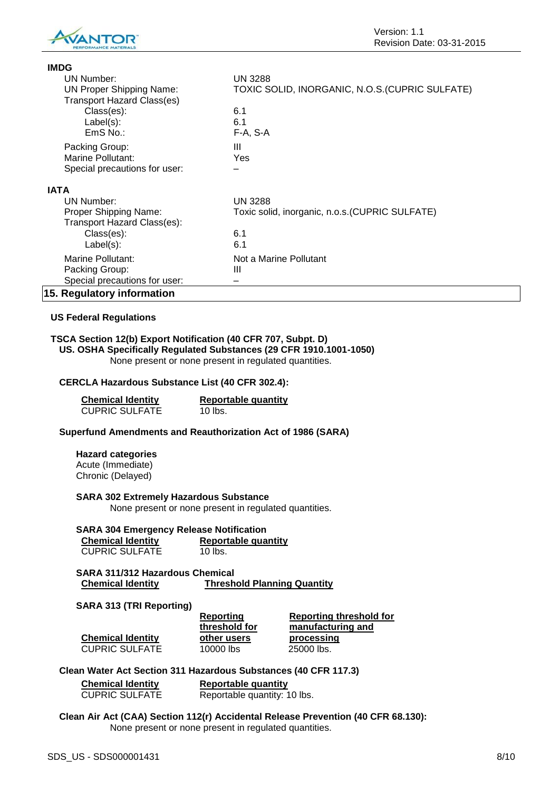

**IMDG**

| טשוו                              |                                                 |
|-----------------------------------|-------------------------------------------------|
| <b>UN Number:</b>                 | <b>UN 3288</b>                                  |
| <b>UN Proper Shipping Name:</b>   | TOXIC SOLID, INORGANIC, N.O.S. (CUPRIC SULFATE) |
| <b>Transport Hazard Class(es)</b> |                                                 |
| Class(es):                        | 6.1                                             |
| $Label(s)$ :                      | 6.1                                             |
| $EmS$ No.:                        | F-A, S-A                                        |
| Packing Group:                    | Ш                                               |
| Marine Pollutant:                 | Yes                                             |
| Special precautions for user:     |                                                 |
| <b>IATA</b>                       |                                                 |
| UN Number:                        | <b>UN 3288</b>                                  |
| Proper Shipping Name:             | Toxic solid, inorganic, n.o.s. (CUPRIC SULFATE) |
| Transport Hazard Class(es):       |                                                 |
| Class(es):                        | 6.1                                             |
| $Label(s)$ :                      | 6.1                                             |
| Marine Pollutant:                 | Not a Marine Pollutant                          |
| Packing Group:                    | Ш                                               |
| Special precautions for user:     |                                                 |
| 15. Regulatory information        |                                                 |

#### **US Federal Regulations**

#### **TSCA Section 12(b) Export Notification (40 CFR 707, Subpt. D) US. OSHA Specifically Regulated Substances (29 CFR 1910.1001-1050)**

None present or none present in regulated quantities.

#### **CERCLA Hazardous Substance List (40 CFR 302.4):**

| <b>Chemical Identity</b> | <b>Reportable quantity</b> |  |
|--------------------------|----------------------------|--|
| <b>CUPRIC SULFATE</b>    | 10 lbs.                    |  |

#### **Superfund Amendments and Reauthorization Act of 1986 (SARA)**

#### **Hazard categories**

Acute (Immediate) Chronic (Delayed)

**SARA 302 Extremely Hazardous Substance**

None present or none present in regulated quantities.

| <b>SARA 304 Emergency Release Notification</b> |                            |  |  |  |
|------------------------------------------------|----------------------------|--|--|--|
| <b>Chemical Identity</b>                       | <b>Reportable quantity</b> |  |  |  |
| <b>CUPRIC SULFATE</b>                          | 10 lbs.                    |  |  |  |

**SARA 311/312 Hazardous Chemical Chemical Identity Threshold Planning Quantity**

#### **SARA 313 (TRI Reporting)**

|                          | Reporting<br>threshold for | Reporting threshold for<br>manufacturing and |
|--------------------------|----------------------------|----------------------------------------------|
| <b>Chemical Identity</b> | other users                | processing                                   |
| <b>CUPRIC SULFATE</b>    | 10000 lbs                  | 25000 lbs.                                   |

#### **Clean Water Act Section 311 Hazardous Substances (40 CFR 117.3)**

| <b>Chemical Identity</b> | <b>Reportable quantity</b>   |  |
|--------------------------|------------------------------|--|
| <b>CUPRIC SULFATE</b>    | Reportable quantity: 10 lbs. |  |

#### **Clean Air Act (CAA) Section 112(r) Accidental Release Prevention (40 CFR 68.130):** None present or none present in regulated quantities.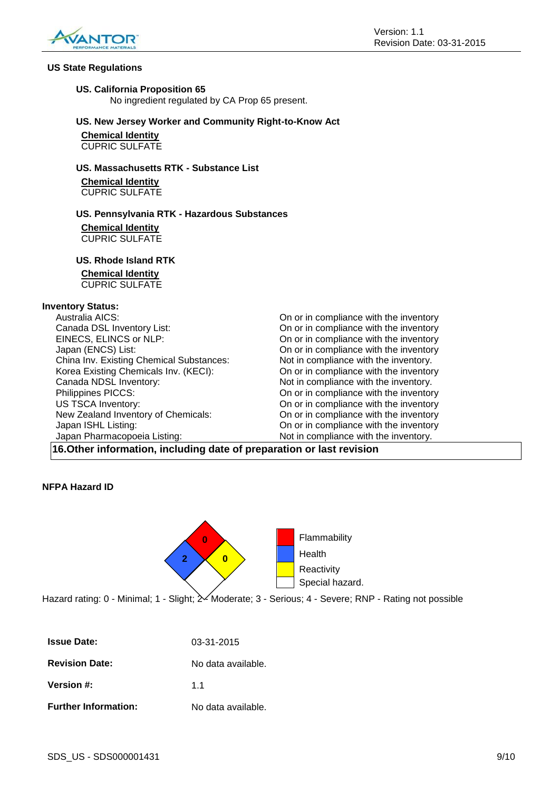

#### **US State Regulations**

#### **US. California Proposition 65**

No ingredient regulated by CA Prop 65 present.

#### **US. New Jersey Worker and Community Right-to-Know Act**

**Chemical Identity** CUPRIC SULFATE

#### **US. Massachusetts RTK - Substance List**

**Chemical Identity** CUPRIC SULFATE

#### **US. Pennsylvania RTK - Hazardous Substances**

**Chemical Identity** CUPRIC SULFATE

#### **US. Rhode Island RTK**

#### **Chemical Identity**

CUPRIC SULFATE

#### **Inventory Status:**

Canada DSL Inventory List: On or in compliance with the inventory EINECS, ELINCS or NLP: On or in compliance with the inventory Japan (ENCS) List: On or in compliance with the inventory China Inv. Existing Chemical Substances: Not in compliance with the inventory. Korea Existing Chemicals Inv. (KECI): On or in compliance with the inventory Canada NDSL Inventory:  $\blacksquare$  Not in compliance with the inventory. Philippines PICCS: On or in compliance with the inventory US TSCA Inventory: On or in compliance with the inventory New Zealand Inventory of Chemicals: On or in compliance with the inventory Japan ISHL Listing: On or in compliance with the inventory Japan Pharmacopoeia Listing: Not in compliance with the inventory.

Australia AICS: On or in compliance with the inventory

#### **16.Other information, including date of preparation or last revision**

#### **NFPA Hazard ID**



Hazard rating: 0 - Minimal; 1 - Slight;  $\geq$  Moderate; 3 - Serious; 4 - Severe; RNP - Rating not possible

| <b>Issue Date:</b>          | 03-31-2015         |
|-----------------------------|--------------------|
| <b>Revision Date:</b>       | No data available. |
| Version #:                  | 11                 |
| <b>Further Information:</b> | No data available. |